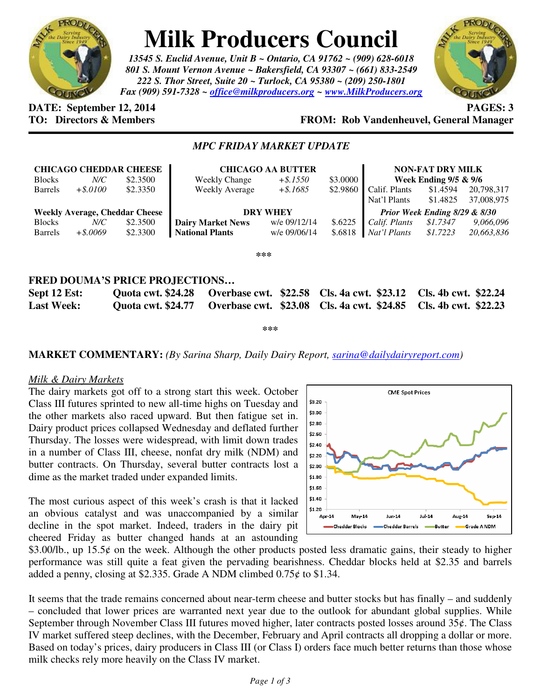

# **Milk Producers Council**

*13545 S. Euclid Avenue, Unit B ~ Ontario, CA 91762 ~ (909) 628-6018 801 S. Mount Vernon Avenue ~ Bakersfield, CA 93307 ~ (661) 833-2549 222 S. Thor Street, Suite 20 ~ Turlock, CA 95380 ~ (209) 250-1801 Fax (909) 591-7328 ~ office@milkproducers.org ~ www.MilkProducers.org*



# **DATE:** September 12, 2014 **PAGES: 3**

# **TO: Directors & Members FROM: Rob Vandenheuvel, General Manager**

## *MPC FRIDAY MARKET UPDATE*

| <b>Blocks</b><br><b>Barrels</b>       | <b>CHICAGO CHEDDAR CHEESE</b><br>$N\!C$<br>$+$ \$.0100 | \$2.3500<br>\$2.3350 | Weekly Change<br>Weekly Average | <b>CHICAGO AA BUTTER</b><br>$+$ \$.1550<br>$+$ \$.1685 | \$3,0000<br>\$2.9860 | <b>NON-FAT DRY MILK</b><br>Week Ending $9/5 & 9/6$<br>Calif. Plants<br>\$1.4594 |          | 20,798,317 |  |
|---------------------------------------|--------------------------------------------------------|----------------------|---------------------------------|--------------------------------------------------------|----------------------|---------------------------------------------------------------------------------|----------|------------|--|
|                                       |                                                        |                      |                                 |                                                        |                      | Nat'l Plants                                                                    | \$1.4825 | 37,008,975 |  |
| <b>Weekly Average, Cheddar Cheese</b> |                                                        |                      | <b>DRY WHEY</b>                 |                                                        |                      | Prior Week Ending 8/29 & 8/30                                                   |          |            |  |
| <b>Blocks</b>                         | $N\!C$                                                 | \$2.3500             | <b>Dairy Market News</b>        | w/e 09/12/14                                           | \$.6225              | Calif. Plants                                                                   | \$1.7347 | 9,066,096  |  |
| <b>Barrels</b>                        | $+$ \$.0069                                            | \$2.3300             | <b>National Plants</b>          | w/e 09/06/14                                           | \$.6818              | Nat'l Plants                                                                    | \$1.7223 | 20,663,836 |  |
| ***                                   |                                                        |                      |                                 |                                                        |                      |                                                                                 |          |            |  |

### **FRED DOUMA'S PRICE PROJECTIONS…**

| Sept 12 Est:      |  | Quota cwt. \$24.28 Overbase cwt. \$22.58 Cls. 4a cwt. \$23.12 Cls. 4b cwt. \$22.24 |  |
|-------------------|--|------------------------------------------------------------------------------------|--|
| <b>Last Week:</b> |  | Quota cwt. \$24.77 Overbase cwt. \$23.08 Cls. 4a cwt. \$24.85 Cls. 4b cwt. \$22.23 |  |

**\*\*\*** 

**MARKET COMMENTARY:** *(By Sarina Sharp, Daily Dairy Report, sarina@dailydairyreport.com)* 

#### *Milk & Dairy Markets*

The dairy markets got off to a strong start this week. October Class III futures sprinted to new all-time highs on Tuesday and the other markets also raced upward. But then fatigue set in. Dairy product prices collapsed Wednesday and deflated further Thursday. The losses were widespread, with limit down trades in a number of Class III, cheese, nonfat dry milk (NDM) and butter contracts. On Thursday, several butter contracts lost a dime as the market traded under expanded limits.

The most curious aspect of this week's crash is that it lacked an obvious catalyst and was unaccompanied by a similar decline in the spot market. Indeed, traders in the dairy pit cheered Friday as butter changed hands at an astounding



 $$3.00/lb$ , up 15.5 $¢$  on the week. Although the other products posted less dramatic gains, their steady to higher performance was still quite a feat given the pervading bearishness. Cheddar blocks held at \$2.35 and barrels added a penny, closing at \$2.335. Grade A NDM climbed  $0.75¢$  to \$1.34.

It seems that the trade remains concerned about near-term cheese and butter stocks but has finally – and suddenly – concluded that lower prices are warranted next year due to the outlook for abundant global supplies. While September through November Class III futures moved higher, later contracts posted losses around 35¢. The Class IV market suffered steep declines, with the December, February and April contracts all dropping a dollar or more. Based on today's prices, dairy producers in Class III (or Class I) orders face much better returns than those whose milk checks rely more heavily on the Class IV market.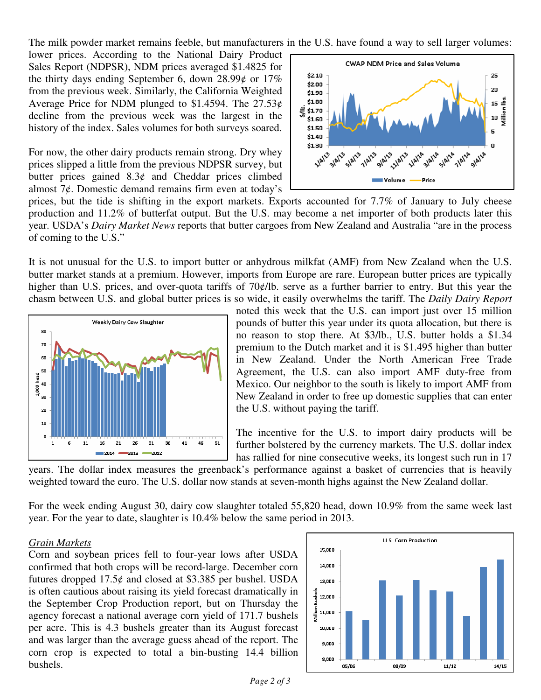The milk powder market remains feeble, but manufacturers in the U.S. have found a way to sell larger volumes:

lower prices. According to the National Dairy Product Sales Report (NDPSR), NDM prices averaged \$1.4825 for the thirty days ending September 6, down  $28.99\ell$  or  $17\%$ from the previous week. Similarly, the California Weighted Average Price for NDM plunged to \$1.4594. The  $27.53¢$ decline from the previous week was the largest in the history of the index. Sales volumes for both surveys soared.

For now, the other dairy products remain strong. Dry whey prices slipped a little from the previous NDPSR survey, but butter prices gained  $8.3¢$  and Cheddar prices climbed almost  $7¢$ . Domestic demand remains firm even at today's



prices, but the tide is shifting in the export markets. Exports accounted for 7.7% of January to July cheese production and 11.2% of butterfat output. But the U.S. may become a net importer of both products later this year. USDA's *Dairy Market News* reports that butter cargoes from New Zealand and Australia "are in the process of coming to the U.S."

It is not unusual for the U.S. to import butter or anhydrous milkfat (AMF) from New Zealand when the U.S. butter market stands at a premium. However, imports from Europe are rare. European butter prices are typically higher than U.S. prices, and over-quota tariffs of 70 $\phi$ /lb. serve as a further barrier to entry. But this year the chasm between U.S. and global butter prices is so wide, it easily overwhelms the tariff. The *Daily Dairy Report*



noted this week that the U.S. can import just over 15 million pounds of butter this year under its quota allocation, but there is no reason to stop there. At \$3/lb., U.S. butter holds a \$1.34 premium to the Dutch market and it is \$1.495 higher than butter in New Zealand. Under the North American Free Trade Agreement, the U.S. can also import AMF duty-free from Mexico. Our neighbor to the south is likely to import AMF from New Zealand in order to free up domestic supplies that can enter the U.S. without paying the tariff.

The incentive for the U.S. to import dairy products will be further bolstered by the currency markets. The U.S. dollar index has rallied for nine consecutive weeks, its longest such run in 17

years. The dollar index measures the greenback's performance against a basket of currencies that is heavily weighted toward the euro. The U.S. dollar now stands at seven-month highs against the New Zealand dollar.

For the week ending August 30, dairy cow slaughter totaled 55,820 head, down 10.9% from the same week last year. For the year to date, slaughter is 10.4% below the same period in 2013.

#### *Grain Markets*

Corn and soybean prices fell to four-year lows after USDA confirmed that both crops will be record-large. December corn futures dropped  $17.5¢$  and closed at \$3.385 per bushel. USDA is often cautious about raising its yield forecast dramatically in the September Crop Production report, but on Thursday the agency forecast a national average corn yield of 171.7 bushels per acre. This is 4.3 bushels greater than its August forecast and was larger than the average guess ahead of the report. The corn crop is expected to total a bin-busting 14.4 billion bushels.